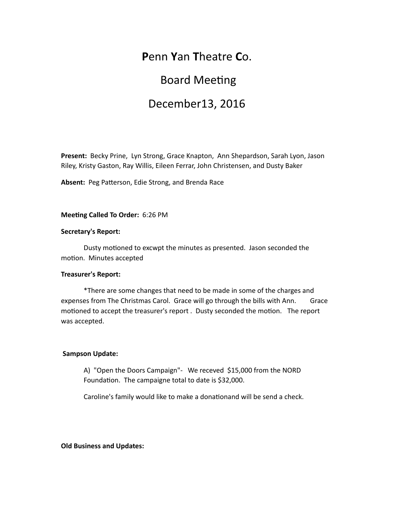### **P**enn **Y**an **T**heatre **C**o.

# **Board Meeting**

# December13, 2016

Present: Becky Prine, Lyn Strong, Grace Knapton, Ann Shepardson, Sarah Lyon, Jason Riley, Kristy Gaston, Ray Willis, Eileen Ferrar, John Christensen, and Dusty Baker

Absent: Peg Patterson, Edie Strong, and Brenda Race

**Meeting Called To Order:** 6:26 PM

### **Secretary's Report:**

Dusty motioned to excwpt the minutes as presented. Jason seconded the motion. Minutes accepted

### **Treasurer's Report:**

\*There are some changes that need to be made in some of the charges and expenses from The Christmas Carol. Grace will go through the bills with Ann. Grace motioned to accept the treasurer's report. Dusty seconded the motion. The report was accepted.

### **Sampson Update:**

A) "Open the Doors Campaign"- We receved \$15,000 from the NORD Foundation. The campaigne total to date is \$32,000.

Caroline's family would like to make a donationand will be send a check.

**Old Business and Updates:**